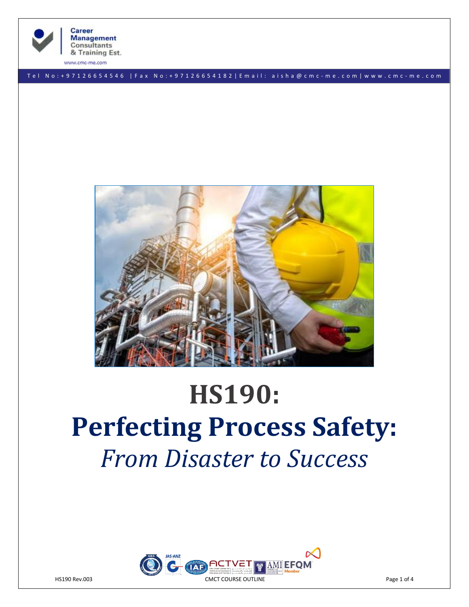

**Career Management** Consultants & Training Est.

www.cmc-me.com

T e l N o : + 9 7 1 2 6 6 5 4 5 4 6 | F a x N o : + 9 7 1 2 6 6 5 4 1 8 2 | E m a i l : a i s h a @ c m c - m e . c o m | w w w . c m c - m e . c o m



# **HS190: Perfecting Process Safety:**  *From Disaster to Success*

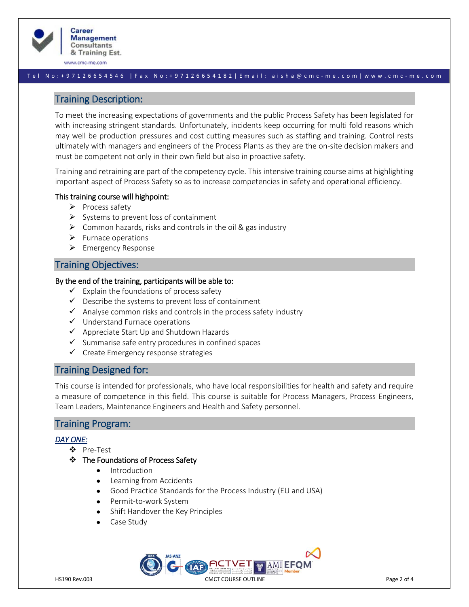

www.cmc-me.com

## T e l N o : + 9 7 1 2 6 6 5 4 5 4 6 | F a x N o : + 9 7 1 2 6 6 5 4 1 8 2 | E m a i l : a i s h a @ c m c - m e . c o m | w w w . c m c - m e . c o m

# Training Description:

To meet the increasing expectations of governments and the public Process Safety has been legislated for with increasing stringent standards. Unfortunately, incidents keep occurring for multi fold reasons which may well be production pressures and cost cutting measures such as staffing and training. Control rests ultimately with managers and engineers of the Process Plants as they are the on-site decision makers and must be competent not only in their own field but also in proactive safety.

Training and retraining are part of the competency cycle. This intensive training course aims at highlighting important aspect of Process Safety so as to increase competencies in safety and operational efficiency.

## This training course will highpoint:

- ➢ Process safety
- $\triangleright$  Systems to prevent loss of containment
- $\triangleright$  Common hazards, risks and controls in the oil & gas industry
- ➢ Furnace operations
- ➢ Emergency Response

# Training Objectives:

## By the end of the training, participants will be able to:

- $\checkmark$  Explain the foundations of process safety
- $\checkmark$  Describe the systems to prevent loss of containment
- $\checkmark$  Analyse common risks and controls in the process safety industry
- ✓ Understand Furnace operations
- ✓ Appreciate Start Up and Shutdown Hazards
- $\checkmark$  Summarise safe entry procedures in confined spaces
- ✓ Create Emergency response strategies

# Training Designed for:

This course is intended for professionals, who have local responsibilities for health and safety and require a measure of competence in this field. This course is suitable for Process Managers, Process Engineers, Team Leaders, Maintenance Engineers and Health and Safety personnel.

# Training Program:

## *DAY ONE:*

- ❖ Pre-Test
- ❖ The Foundations of Process Safety
	- Introduction
	- Learning from Accidents
	- Good Practice Standards for the Process Industry (EU and USA)
	- Permit-to-work System
	- Shift Handover the Key Principles
	- Case Study

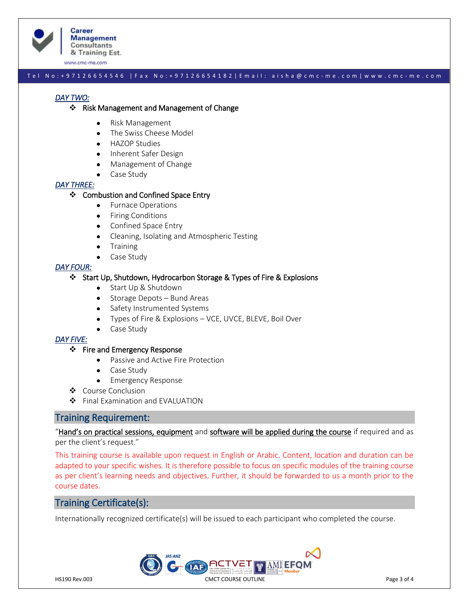

**Career Management Consultants** & Training Est.

www.cmc-me.com

## T e l N o : + 9 7 1 2 6 6 5 4 5 4 6 | F a x N o : + 9 7 1 2 6 6 5 4 1 8 2 | E m a i l : a i s h a @ c m c - m e . c o m | w w w . c m c - m e . c o m

## *DAY TWO:*

#### ❖ Risk Management and Management of Change

- Risk Management
- The Swiss Cheese Model
- HAZOP Studies
- Inherent Safer Design
- Management of Change
- Case Study

## *DAY THREE:*

## ❖ Combustion and Confined Space Entry

- Furnace Operations
- Firing Conditions
- Confined Space Entry
- Cleaning, Isolating and Atmospheric Testing
- Training
- Case Study

#### *DAY FOUR:*

## ❖ Start Up, Shutdown, Hydrocarbon Storage & Types of Fire & Explosions

- Start Up & Shutdown
- Storage Depots Bund Areas
- Safety Instrumented Systems
- Types of Fire & Explosions VCE, UVCE, BLEVE, Boil Over
- Case Study

#### *DAY FIVE:*

#### ❖ Fire and Emergency Response

- Passive and Active Fire Protection
- Case Study
- Emergency Response
- ❖ Course Conclusion
- ❖ Final Examination and EVALUATION

# Training Requirement:

"Hand's on practical sessions, equipment and software will be applied during the course if required and as per the client's request."

This training course is available upon request in English or Arabic. Content, location and duration can be adapted to your specific wishes. It is therefore possible to focus on specific modules of the training course as per client's learning needs and objectives. Further, it should be forwarded to us a month prior to the course dates.

# Training Certificate(s):

Internationally recognized certificate(s) will be issued to each participant who completed the course.